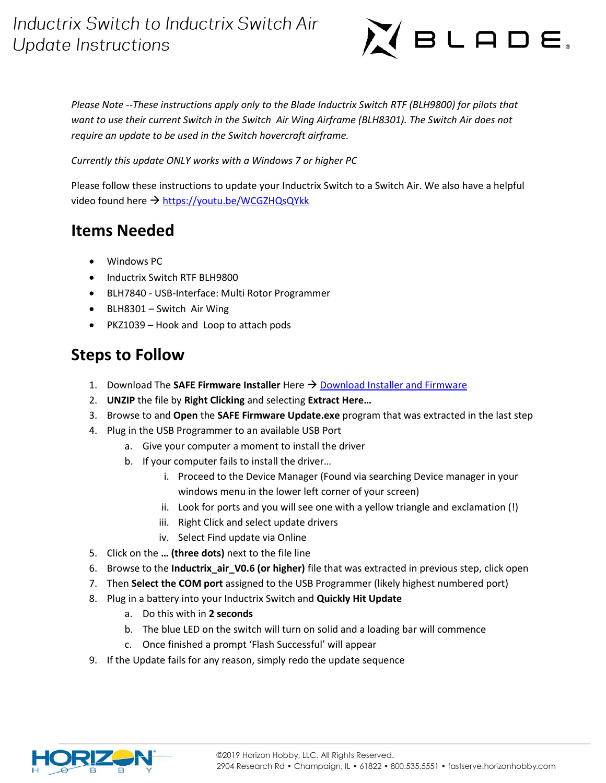# Inductrix Switch to Inductrix Switch Air **Update Instructions**



*Please Note --These instructions apply only to the Blade Inductrix Switch RTF (BLH9800) for pilots that want to use their current Switch in the Switch Air Wing Airframe (BLH8301). The Switch Air does not require an update to be used in the Switch hovercraft airframe.* 

*Currently this update ONLY works with a Windows 7 or higher PC*

Please follow these instructions to update your Inductrix Switch to a Switch Air. We also have a helpful video found here → <https://youtu.be/WCGZHQsQYkk>

#### **Items Needed**

- Windows PC
- Inductrix Switch RTF BLH9800
- BLH7840 USB-Interface: Multi Rotor Programmer
- BLH8301 Switch Air Wing
- PKZ1039 Hook and Loop to attach pods

### **Steps to Follow**

- 1. Download The **SAFE Firmware Installer** Here  $\rightarrow$  [Download Installer and Firmware](https://www.horizonhobby.com/pdf/Inductrix_Switch_Update.zip)
- 2. **UNZIP** the file by **Right Clicking** and selecting **Extract Here…**
- 3. Browse to and **Open** the **SAFE Firmware Update.exe** program that was extracted in the last step
- 4. Plug in the USB Programmer to an available USB Port
	- a. Give your computer a moment to install the driver
	- b. If your computer fails to install the driver…
		- i. Proceed to the Device Manager (Found via searching Device manager in your windows menu in the lower left corner of your screen)
		- ii. Look for ports and you will see one with a yellow triangle and exclamation (!)
		- iii. Right Click and select update drivers
		- iv. Select Find update via Online
- 5. Click on the **… (three dots)** next to the file line
- 6. Browse to the **Inductrix\_air\_V0.6 (or higher)** file that was extracted in previous step, click open
- 7. Then **Select the COM port** assigned to the USB Programmer (likely highest numbered port)
- 8. Plug in a battery into your Inductrix Switch and **Quickly Hit Update**
	- a. Do this with in **2 seconds**
	- b. The blue LED on the switch will turn on solid and a loading bar will commence
	- c. Once finished a prompt 'Flash Successful' will appear
- 9. If the Update fails for any reason, simply redo the update sequence